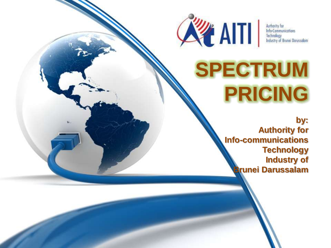

Authority for **Info-Communications** Technology<br>Industry of Brunei Darussalam

## **SPECTRUM PRICING**

**by: Authority for Info-communications Technology Industry of Brunei Darussalam**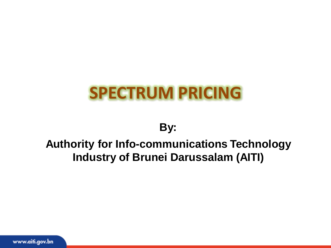### **SPECTRUM PRICING**

#### **By:**

#### **Authority for Info-communications Technology Industry of Brunei Darussalam (AITI)**

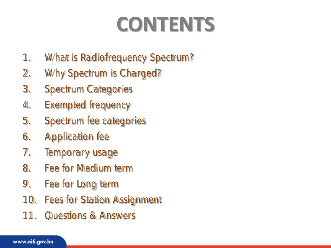# **CONTENTS**

- 1. What is Radiofrequency Spectrum?
- 2. Why Spectrum is Charged?
- 3. Spectrum Categories
- 4. Exempted frequency
- 5. Spectrum fee categories
- 6. Application fee
- 7. Temporary usage
- 8. Fee for Medium term
- 9. Fee for Long term
- 10. Fees for Station Assignment
- 11. Questions & Answers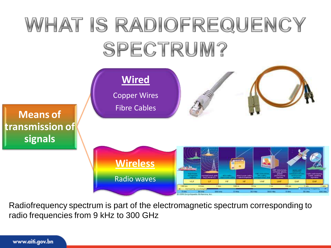## WHAT IS RADIOFREQUENCY SPECTRUM?



Radiofrequency spectrum is part of the electromagnetic spectrum corresponding to radio frequencies from 9 kHz to 300 GHz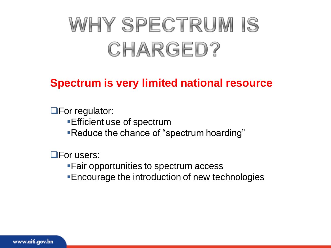## WHY SPECTRUM IS CHARGED?

#### **Spectrum is very limited national resource**

**OF** For regulator: Efficient use of spectrum Reduce the chance of "spectrum hoarding"

**OF** or users:

Fair opportunities to spectrum access Encourage the introduction of new technologies

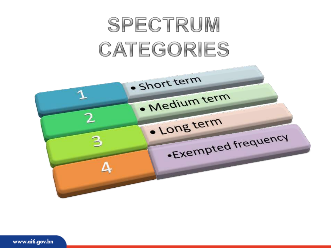## SPECTRUM CATEGORIES

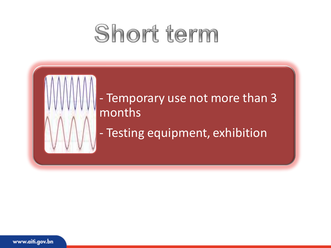## Short term



### - Temporary use not more than 3 months

- Testing equipment, exhibition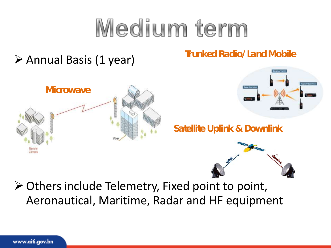# Medium term

### $\triangleright$  Annual Basis (1 year)

**Trunked Radio/Land Mobile**





**Satellite Uplink & Downlink**



 $\triangleright$  Others include Telemetry, Fixed point to point, Aeronautical, Maritime, Radar and HF equipment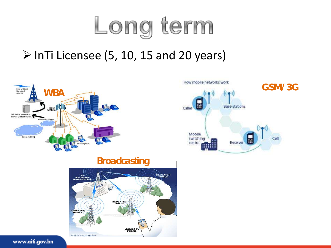

### $\triangleright$  InTi Licensee (5, 10, 15 and 20 years)





**Broadcasting**

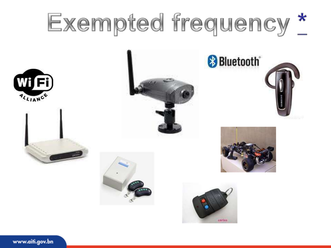# Exempted frequency \*















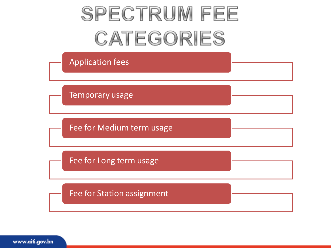## **SPECTRUM FEE** CATEGORIES

Application fees

Temporary usage

Fee for Medium term usage

Fee for Long term usage

Fee for Station assignment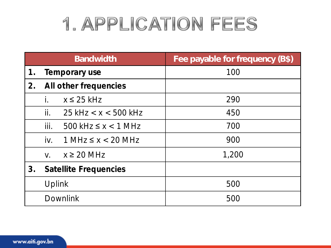### 1. APPLICATION FEES

|                 | <b>Bandwidth</b>                      | Fee payable for frequency (B\$) |
|-----------------|---------------------------------------|---------------------------------|
| 1 <sub>1</sub>  | Temporary use                         | 100                             |
| 2.              | All other frequencies                 |                                 |
|                 | $x \leq 25$ kHz                       | 290                             |
|                 | ii.<br>$25$ kHz $\lt x \lt 500$ kHz   | 450                             |
|                 | iii.<br>$500$ kHz $\leq x < 1$ MHz    | 700                             |
|                 | $iv_{-}$<br>$1$ MHz $\leq x < 20$ MHz | 900                             |
|                 | $x \geq 20$ MHz<br>$V_{\cdot}$        | 1,200                           |
| 3.              | Satellite Frequencies                 |                                 |
|                 | Uplink                                | 500                             |
| <b>Downlink</b> |                                       | 500                             |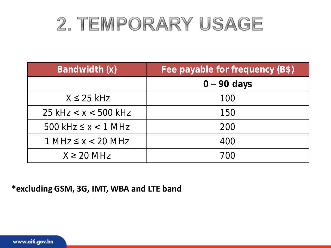### 2. TEMPORARY USAGE

| Bandwidth (x)              | Fee payable for frequency (B\$) |
|----------------------------|---------------------------------|
|                            | $0 - 90$ days                   |
| $X \leq 25$ kHz            | 100                             |
| $25$ kHz < x < 500 kHz     | 150                             |
| $500$ kHz $\leq x < 1$ MHz | 200                             |
| $1 MHz \le x < 20 MHz$     | 400                             |
| $X \geq 20$ MHz            | 700                             |

**\*excluding GSM, 3G, IMT, WBA and LTE band**

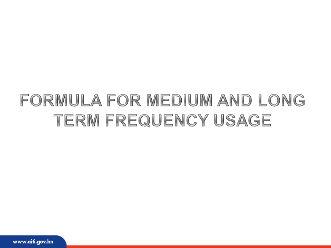### FORMULA FOR MEDIUM AND LONG TERM FREQUENCY USAGE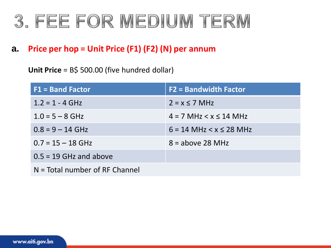### 3. FEE FOR MEDIUM TERM

#### **a. Price per hop = Unit Price (F1) (F2) (N) per annum**

**Unit Price** = B\$ 500.00 (five hundred dollar)

| $F1 = Band Factor$               | <b>F2 = Bandwidth Factor</b>  |  |  |  |
|----------------------------------|-------------------------------|--|--|--|
| $1.2 = 1 - 4$ GHz                | $2 = x \le 7$ MHz             |  |  |  |
| $1.0 = 5 - 8$ GHz                | $4 = 7$ MHz $5 \times 14$ MHz |  |  |  |
| $0.8 = 9 - 14$ GHz               | $6 = 14$ MHz $< x \le 28$ MHz |  |  |  |
| $0.7 = 15 - 18$ GHz              | $8 =$ above 28 MHz            |  |  |  |
| $0.5 = 19$ GHz and above         |                               |  |  |  |
| $N = Total number of RF Channel$ |                               |  |  |  |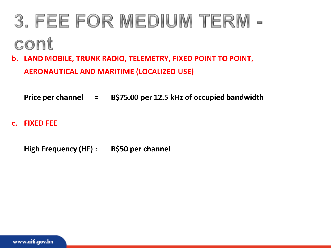## 3. FEE FOR MEDIUM TERM cont

- **b. LAND MOBILE, TRUNK RADIO, TELEMETRY, FIXED POINT TO POINT, AERONAUTICAL AND MARITIME (LOCALIZED USE)**
	- **Price per channel = B\$75.00 per 12.5 kHz of occupied bandwidth**
- **c. FIXED FEE**
	- **High Frequency (HF) : B\$50 per channel**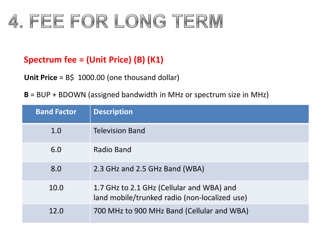### 4. FEE FOR LONG TERM

#### **Spectrum fee = (Unit Price) (B) (K1)**

**Unit Price** = B\$ 1000.00 (one thousand dollar)

**B** = BUP + BDOWN (assigned bandwidth in MHz or spectrum size in MHz)

| <b>Band Factor</b> | <b>Description</b>                                                                         |
|--------------------|--------------------------------------------------------------------------------------------|
| 1.0                | <b>Television Band</b>                                                                     |
| 6.0                | Radio Band                                                                                 |
| 8.0                | 2.3 GHz and 2.5 GHz Band (WBA)                                                             |
| 10.0               | 1.7 GHz to 2.1 GHz (Cellular and WBA) and<br>land mobile/trunked radio (non-localized use) |
| 12.0               | 700 MHz to 900 MHz Band (Cellular and WBA)                                                 |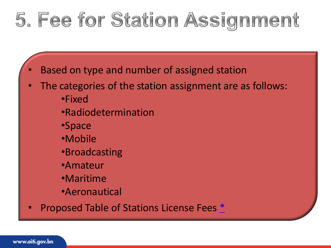## 5. Fee for Station Assignment

- Based on type and number of assigned station
- The categories of the station assignment are as follows: •Fixed
	- •Radiodetermination
	- •Space
	- •Mobile
	- •Broadcasting
	- •Amateur
	- •Maritime
	- •Aeronautical
- Proposed Table of Stations License Fees [\\*](Station Assignment 1.xls)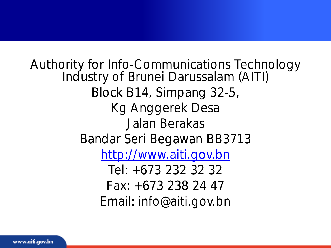Authority for Info-Communications Technology Industry of Brunei Darussalam (AITI) Block B14, Simpang 32-5, Kg Anggerek Desa Jalan Berakas Bandar Seri Begawan BB3713 [http://www.aiti.gov.bn](http://www.aiti.gov.bn/) Tel: +673 232 32 32 Fax: +673 238 24 47 Email: info@aiti.gov.bn